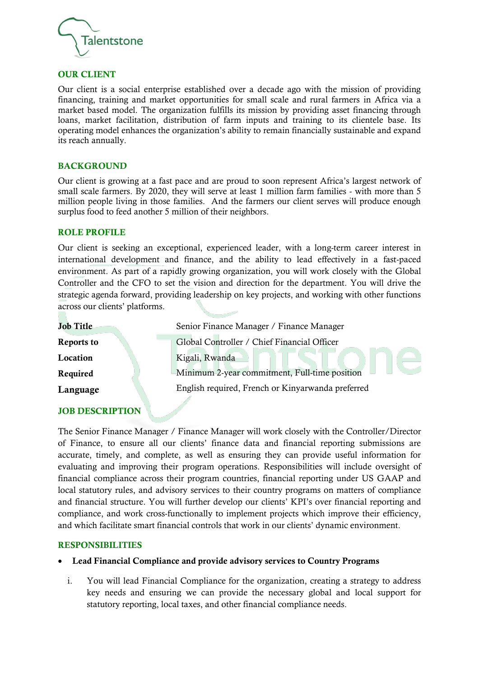

### OUR CLIENT

Our client is a social enterprise established over a decade ago with the mission of providing financing, training and market opportunities for small scale and rural farmers in Africa via a market based model. The organization fulfills its mission by providing asset financing through loans, market facilitation, distribution of farm inputs and training to its clientele base. Its operating model enhances the organization's ability to remain financially sustainable and expand its reach annually.

#### **BACKGROUND**

Our client is growing at a fast pace and are proud to soon represent Africa's largest network of small scale farmers. By 2020, they will serve at least 1 million farm families - with more than 5 million people living in those families. And the farmers our client serves will produce enough surplus food to feed another 5 million of their neighbors.

#### ROLE PROFILE

Our client is seeking an exceptional, experienced leader, with a long-term career interest in international development and finance, and the ability to lead effectively in a fast-paced environment. As part of a rapidly growing organization, you will work closely with the Global Controller and the CFO to set the vision and direction for the department. You will drive the strategic agenda forward, providing leadership on key projects, and working with other functions across our clients' platforms.

| Senior Finance Manager / Finance Manager          |
|---------------------------------------------------|
| Global Controller / Chief Financial Officer       |
| Kigali, Rwanda                                    |
| Minimum 2-year commitment, Full-time position     |
| English required, French or Kinyarwanda preferred |
|                                                   |

# JOB DESCRIPTION

The Senior Finance Manager / Finance Manager will work closely with the Controller/Director of Finance, to ensure all our clients' finance data and financial reporting submissions are accurate, timely, and complete, as well as ensuring they can provide useful information for evaluating and improving their program operations. Responsibilities will include oversight of financial compliance across their program countries, financial reporting under US GAAP and local statutory rules, and advisory services to their country programs on matters of compliance and financial structure. You will further develop our clients' KPI's over financial reporting and compliance, and work cross-functionally to implement projects which improve their efficiency, and which facilitate smart financial controls that work in our clients' dynamic environment.

#### RESPONSIBILITIES

### • Lead Financial Compliance and provide advisory services to Country Programs

i. You will lead Financial Compliance for the organization, creating a strategy to address key needs and ensuring we can provide the necessary global and local support for statutory reporting, local taxes, and other financial compliance needs.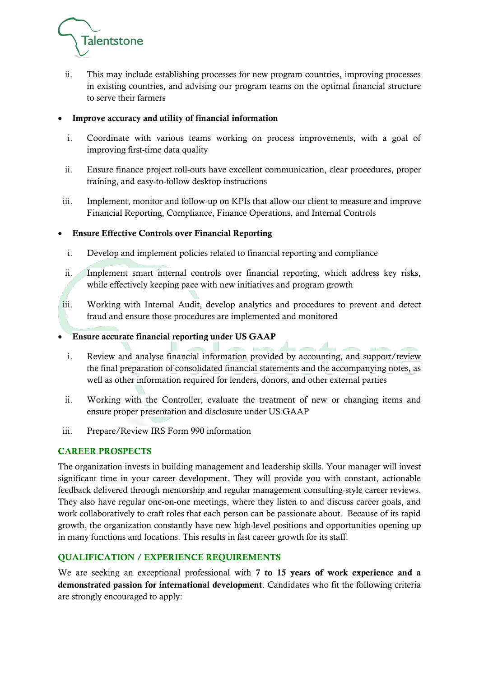

ii. This may include establishing processes for new program countries, improving processes in existing countries, and advising our program teams on the optimal financial structure to serve their farmers

## • Improve accuracy and utility of financial information

- i. Coordinate with various teams working on process improvements, with a goal of improving first-time data quality
- ii. Ensure finance project roll-outs have excellent communication, clear procedures, proper training, and easy-to-follow desktop instructions
- iii. Implement, monitor and follow-up on KPIs that allow our client to measure and improve Financial Reporting, Compliance, Finance Operations, and Internal Controls

# • Ensure Effective Controls over Financial Reporting

- i. Develop and implement policies related to financial reporting and compliance
- ii. Implement smart internal controls over financial reporting, which address key risks, while effectively keeping pace with new initiatives and program growth
- iii. Working with Internal Audit, develop analytics and procedures to prevent and detect fraud and ensure those procedures are implemented and monitored
- Ensure accurate financial reporting under US GAAP
	- i. Review and analyse financial information provided by accounting, and support/review the final preparation of consolidated financial statements and the accompanying notes, as well as other information required for lenders, donors, and other external parties
- ii. Working with the Controller, evaluate the treatment of new or changing items and ensure proper presentation and disclosure under US GAAP
- iii. Prepare/Review IRS Form 990 information

### CAREER PROSPECTS

The organization invests in building management and leadership skills. Your manager will invest significant time in your career development. They will provide you with constant, actionable feedback delivered through mentorship and regular management consulting-style career reviews. They also have regular one-on-one meetings, where they listen to and discuss career goals, and work collaboratively to craft roles that each person can be passionate about. Because of its rapid growth, the organization constantly have new high-level positions and opportunities opening up in many functions and locations. This results in fast career growth for its staff.

# QUALIFICATION / EXPERIENCE REQUIREMENTS

We are seeking an exceptional professional with 7 to 15 years of work experience and a demonstrated passion for international development. Candidates who fit the following criteria are strongly encouraged to apply: